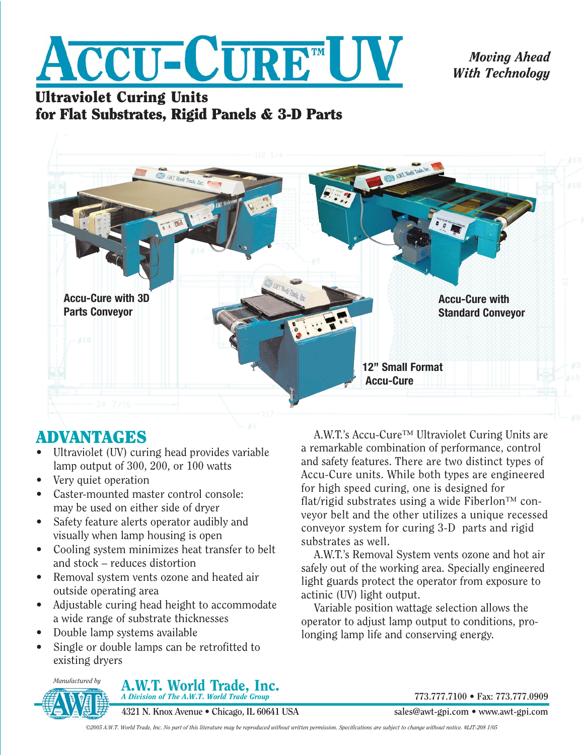

#### *Moving Ahead With Technology*

#### Ultraviolet Curing Units for Flat Substrates, Rigid Panels & 3-D Parts



## ADVANTAGES

- Ultraviolet (UV) curing head provides variable lamp output of 300, 200, or 100 watts
- Very quiet operation
- Caster-mounted master control console: may be used on either side of dryer
- Safety feature alerts operator audibly and visually when lamp housing is open
- Cooling system minimizes heat transfer to belt and stock – reduces distortion
- Removal system vents ozone and heated air outside operating area
- Adjustable curing head height to accommodate a wide range of substrate thicknesses
- Double lamp systems available
- Single or double lamps can be retrofitted to existing dryers

A.W.T.'s Accu-Cure™ Ultraviolet Curing Units are a remarkable combination of performance, control and safety features. There are two distinct types of Accu-Cure units. While both types are engineered for high speed curing, one is designed for flat/rigid substrates using a wide Fiberlon<sup>TM</sup> conveyor belt and the other utilizes a unique recessed conveyor system for curing 3-D parts and rigid substrates as well.

A.W.T.'s Removal System vents ozone and hot air safely out of the working area. Specially engineered light guards protect the operator from exposure to actinic (UV) light output.

Variable position wattage selection allows the operator to adjust lamp output to conditions, prolonging lamp life and conserving energy.



A.W.T. World Trade, Inc. *A Division of The A.W.T. World Trade Group* 

**4321 N. Knox Avenue • Chicago, IL 60641 USA** 

**773.777.7100 • Fax: 773.777.0909**

**sales@awt-gpi.com • www.awt-gpi.com**

*©2005 A.W.T. World Trade, Inc. No part of this literature may be reproduced without written permission. Specifications are subject to change without notice. #LIT-208 1/05*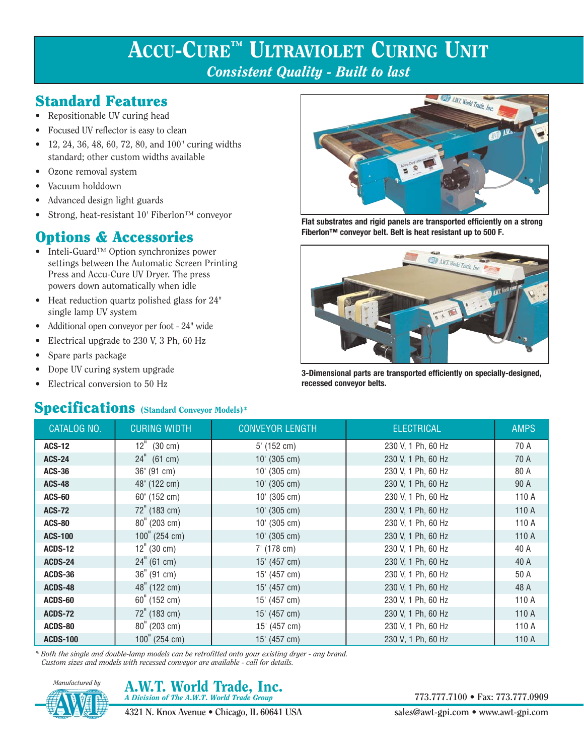# ACCU-CURE™ ULTRAVIOLET CURING UNIT *Consistent Quality - Built to last*

#### Standard Features

- Repositionable UV curing head
- Focused UV reflector is easy to clean
- 12, 24, 36, 48, 60, 72, 80, and 100" curing widths standard; other custom widths available
- Ozone removal system
- Vacuum holddown
- Advanced design light guards
- Strong, heat-resistant 10' Fiberlon™ conveyor

#### Options & Accessories

- Inteli-Guard™ Option synchronizes power settings between the Automatic Screen Printing Press and Accu-Cure UV Dryer. The press powers down automatically when idle
- Heat reduction quartz polished glass for 24" single lamp UV system
- Additional open conveyor per foot 24" wide
- Electrical upgrade to 230 V, 3 Ph, 60 Hz
- Spare parts package
- Dope UV curing system upgrade
- Electrical conversion to 50 Hz

#### Specifications (Standard Conveyor Models)\*



**Flat substrates and rigid panels are transported efficiently on a strong Fiberlon™ conveyor belt. Belt is heat resistant up to 500 F.**



**3-Dimensional parts are transported efficiently on specially-designed, recessed conveyor belts.**

| <b>CATALOG NO.</b> | <b>CURING WIDTH</b>   | <b>CONVEYOR LENGTH</b> | <b>ELECTRICAL</b>  | <b>AMPS</b> |
|--------------------|-----------------------|------------------------|--------------------|-------------|
| <b>ACS-12</b>      | $12^{\circ}$ (30 cm)  | $5'$ (152 cm)          | 230 V, 1 Ph, 60 Hz | 70 A        |
| <b>ACS-24</b>      | $24^{\circ}$ (61 cm)  | $10'$ (305 cm)         | 230 V, 1 Ph, 60 Hz | 70 A        |
| <b>ACS-36</b>      | 36" (91 cm)           | $10'$ (305 cm)         | 230 V, 1 Ph, 60 Hz | 80 A        |
| <b>ACS-48</b>      | 48" (122 cm)          | $10'$ (305 cm)         | 230 V, 1 Ph, 60 Hz | 90 A        |
| <b>ACS-60</b>      | 60" (152 cm)          | $10'$ (305 cm)         | 230 V, 1 Ph, 60 Hz | 110 A       |
| <b>ACS-72</b>      | $72$ " (183 cm)       | $10'$ (305 cm)         | 230 V, 1 Ph, 60 Hz | 110 A       |
| <b>ACS-80</b>      | $80''$ (203 cm)       | 10' (305 cm)           | 230 V, 1 Ph, 60 Hz | 110 A       |
| <b>ACS-100</b>     | $100''$ (254 cm)      | $10'$ (305 cm)         | 230 V, 1 Ph, 60 Hz | 110 A       |
| ACDS-12            | $12''$ (30 cm)        | $7'$ (178 cm)          | 230 V, 1 Ph, 60 Hz | 40 A        |
| ACDS-24            | $24^{\circ}$ (61 cm)  | 15' (457 cm)           | 230 V, 1 Ph, 60 Hz | 40 A        |
| ACDS-36            | $36''$ (91 cm)        | 15' (457 cm)           | 230 V, 1 Ph, 60 Hz | 50 A        |
| ACDS-48            | $48^{\circ}$ (122 cm) | 15' (457 cm)           | 230 V, 1 Ph, 60 Hz | 48 A        |
| ACDS-60            | $60^{\circ}$ (152 cm) | 15' (457 cm)           | 230 V, 1 Ph, 60 Hz | 110 A       |
| ACDS-72            | 72" (183 cm)          | 15' (457 cm)           | 230 V, 1 Ph, 60 Hz | 110 A       |
| <b>ACDS-80</b>     | $80^{\circ}$ (203 cm) | 15' (457 cm)           | 230 V, 1 Ph, 60 Hz | 110 A       |
| <b>ACDS-100</b>    | $100''$ (254 cm)      | 15' (457 cm)           | 230 V, 1 Ph, 60 Hz | 110 A       |

*\* Both the single and double-lamp models can be retrofitted onto your existing dryer - any brand. Custom sizes and models with recessed conveyor are available - call for details.*



A.W.T. World Trade, Inc. *A Division of The A.W.T. World Trade Group* 

**4321 N. Knox Avenue • Chicago, IL 60641 USA** 

**773.777.7100 • Fax: 773.777.0909**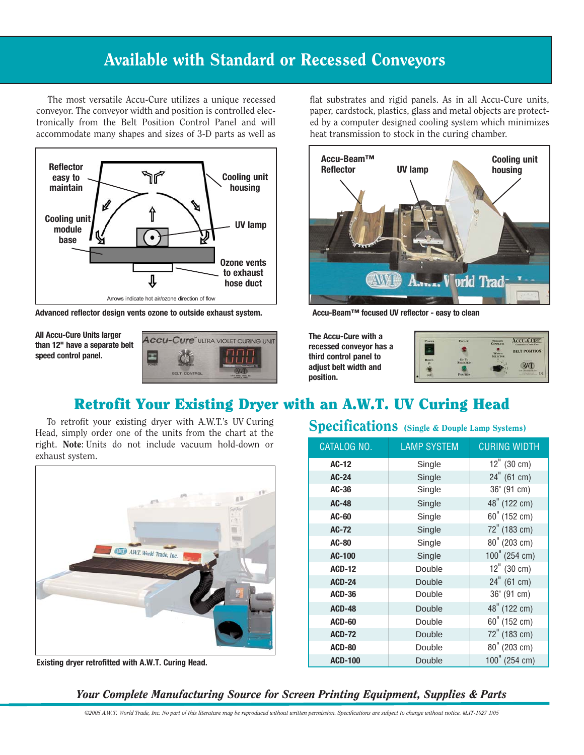# Available with Standard or Recessed Conveyors

The most versatile Accu-Cure utilizes a unique recessed conveyor. The conveyor width and position is controlled electronically from the Belt Position Control Panel and will accommodate many shapes and sizes of 3-D parts as well as



**Advanced reflector design vents ozone to outside exhaust system. Accu-Beam™ focused UV reflector - easy to clean**

**All Accu-Cure Units larger than 12" have a separate belt speed control panel.**



flat substrates and rigid panels. As in all Accu-Cure units, paper, cardstock, plastics, glass and metal objects are protected by a computer designed cooling system which minimizes heat transmission to stock in the curing chamber.



**The Accu-Cure with a recessed conveyor has a third control panel to adjust belt width and position.**



## Retrofit Your Existing Dryer with an A.W.T. UV Curing Head

To retrofit your existing dryer with A.W.T.'s UV Curing Head, simply order one of the units from the chart at the right. Note: Units do not include vacuum hold-down or exhaust system.



**Existing dryer retrofitted with A.W.T. Curing Head.**

#### Specifications (Single & Douple Lamp Systems)

| CATALOG NO.    | <b>LAMP SYSTEM</b> | <b>CURING WIDTH</b> |  |
|----------------|--------------------|---------------------|--|
| $AC-12$        | Single             | $12''$ (30 cm)      |  |
| <b>AC-24</b>   | Single             | $24''$ (61 cm)      |  |
| $AC-36$        | Single             | 36" (91 cm)         |  |
| <b>AC-48</b>   | Single             | 48" (122 cm)        |  |
| AC-60          | Single             | 60" (152 cm)        |  |
| <b>AC-72</b>   | Single             | 72" (183 cm)        |  |
| <b>AC-80</b>   | Single             | $80''$ (203 cm)     |  |
| <b>AC-100</b>  | Single             | 100" (254 cm)       |  |
| <b>ACD-12</b>  | Double             | $12''$ (30 cm)      |  |
| <b>ACD-24</b>  | Double             | $24''$ (61 cm)      |  |
| <b>ACD-36</b>  | Double             | 36" (91 cm)         |  |
| <b>ACD-48</b>  | Double             | 48" (122 cm)        |  |
| <b>ACD-60</b>  | Double             | 60" (152 cm)        |  |
| <b>ACD-72</b>  | Double             | 72" (183 cm)        |  |
| <b>ACD-80</b>  | Double             | 80" (203 cm)        |  |
| <b>ACD-100</b> | Double             | 100" (254 cm)       |  |

#### *Your Complete Manufacturing Source for Screen Printing Equipment, Supplies & Parts*